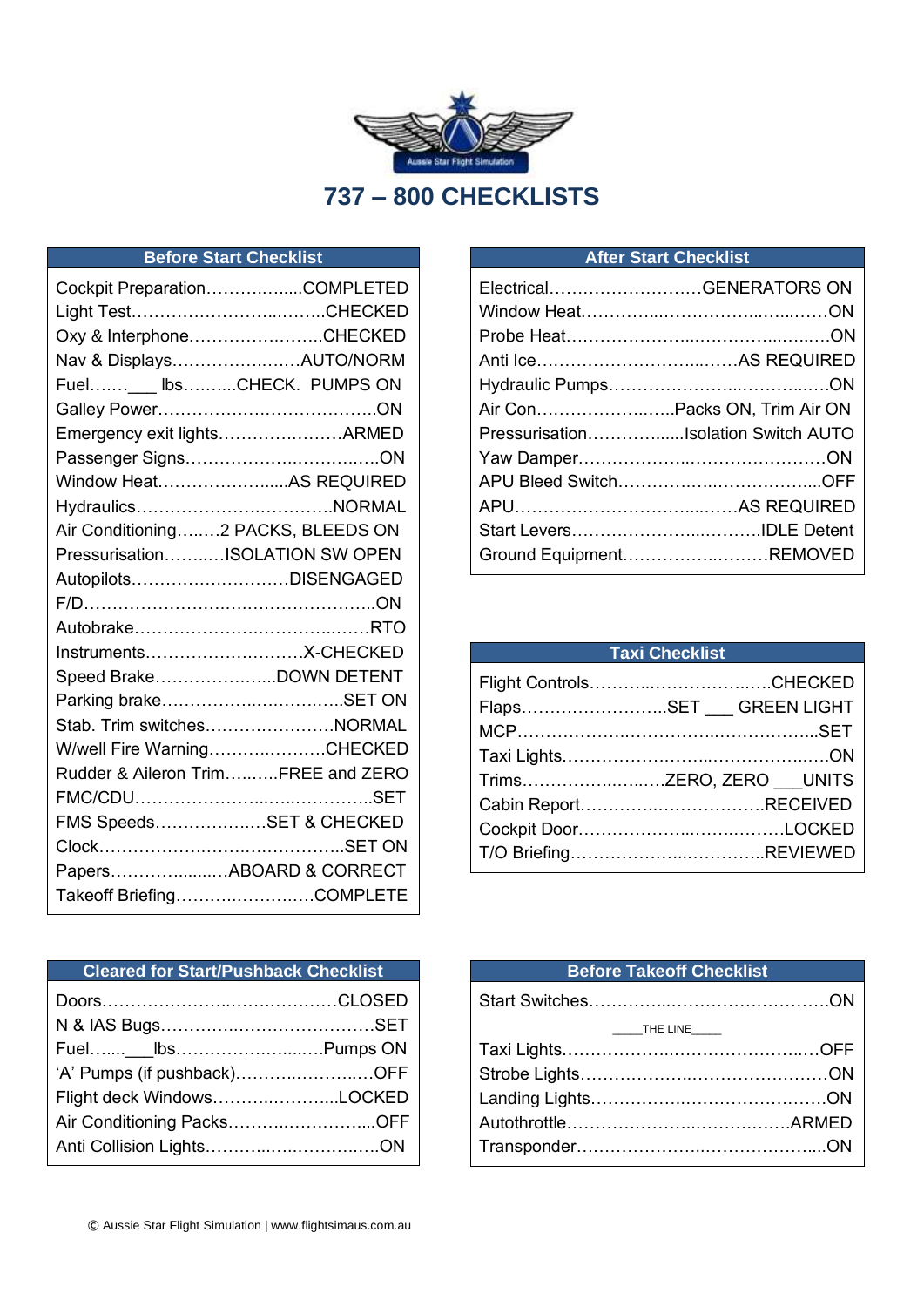

# **Before Start Checklist**

| Cockpit PreparationCOMPLETED       |
|------------------------------------|
| Light TestCHECKED                  |
| Oxy & InterphoneCHECKED            |
| Nav & DisplaysAUTO/NORM            |
| Fuel___ lbsCHECK. PUMPS ON         |
|                                    |
| Emergency exit lightsARMED         |
|                                    |
| Window HeatAS REQUIRED             |
| HydraulicsNORMAL                   |
| Air Conditioning2 PACKS, BLEEDS ON |
| PressurisationISOLATION SW OPEN    |
| AutopilotsDISENGAGED               |
|                                    |
|                                    |
|                                    |
| Speed BrakeDOWN DETENT             |
| Parking brakeSET ON                |
| Stab. Trim switchesNORMAL          |
| W/well Fire WarningCHECKED         |
| Rudder & Aileron TrimFREE and ZERO |
|                                    |
| FMS SpeedsSET & CHECKED            |
|                                    |
| PapersABOARD & CORRECT             |
| Takeoff BriefingCOMPLETE           |
|                                    |

#### **After Start Checklist**

| ElectricalGENERATORS ON |                                     |
|-------------------------|-------------------------------------|
|                         |                                     |
|                         |                                     |
|                         |                                     |
|                         |                                     |
|                         |                                     |
|                         | PressurisationIsolation Switch AUTO |
|                         |                                     |
|                         |                                     |
|                         |                                     |
|                         |                                     |
|                         | Ground EquipmentREMOVED             |

| <b>Taxi Checklist</b> |                          |  |
|-----------------------|--------------------------|--|
|                       |                          |  |
|                       | FlapsSET ___ GREEN LIGHT |  |
|                       |                          |  |
|                       |                          |  |
|                       | TrimsZERO, ZERO UNITS    |  |
|                       | Cabin ReportRECEIVED     |  |
|                       |                          |  |
|                       |                          |  |
|                       |                          |  |

#### **Cleared for Start/Pushback Checklist**

| 'A' Pumps (if pushback)OFF |  |
|----------------------------|--|
| Flight deck WindowsLOCKED  |  |
| Air Conditioning PacksOFF  |  |
|                            |  |

#### **Before Takeoff Checklist**

| $\begin{array}{c}\n\text{} \\ \hline\n\text{.} \\ \end{array}$ THE LINE |  |
|-------------------------------------------------------------------------|--|
|                                                                         |  |
|                                                                         |  |
|                                                                         |  |
|                                                                         |  |
|                                                                         |  |